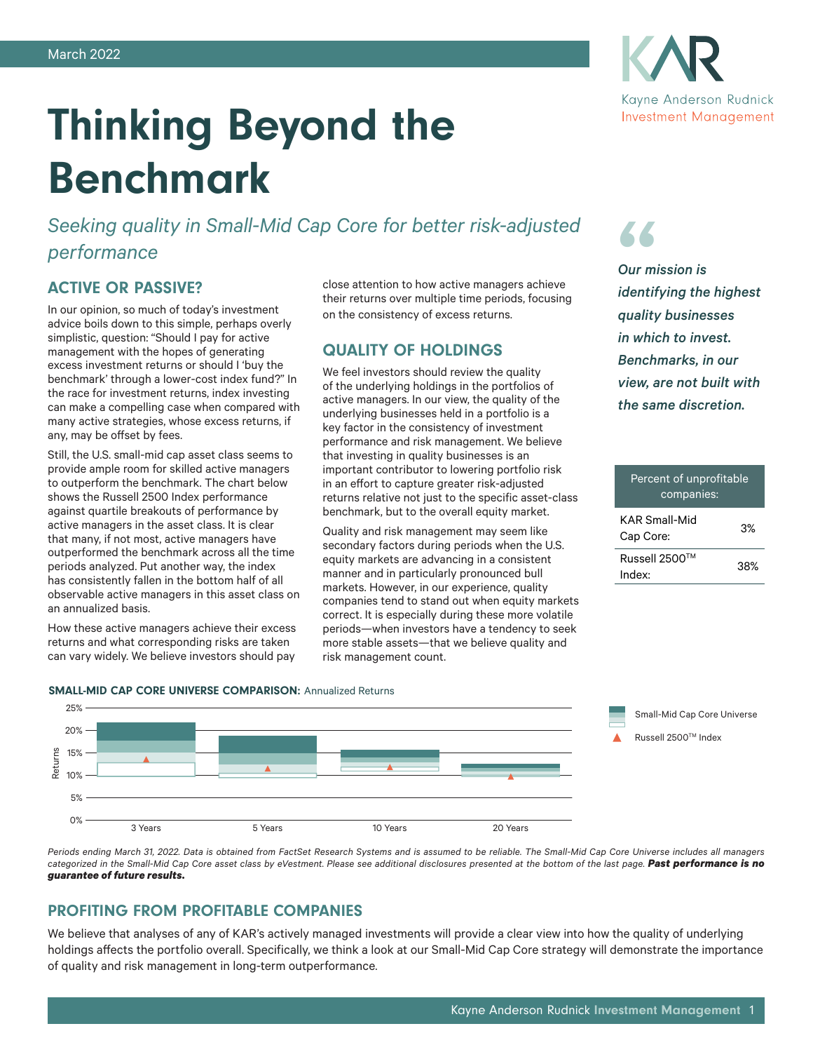

*Seeking quality in Small-Mid Cap Core for better risk-adjusted performance*

# ACTIVE OR PASSIVE?

In our opinion, so much of today's investment advice boils down to this simple, perhaps overly simplistic, question: "Should I pay for active management with the hopes of generating excess investment returns or should I 'buy the benchmark' through a lower-cost index fund?" In the race for investment returns, index investing can make a compelling case when compared with many active strategies, whose excess returns, if any, may be offset by fees.

Still, the U.S. small-mid cap asset class seems to provide ample room for skilled active managers to outperform the benchmark. The chart below shows the Russell 2500 Index performance against quartile breakouts of performance by active managers in the asset class. It is clear that many, if not most, active managers have outperformed the benchmark across all the time periods analyzed. Put another way, the index has consistently fallen in the bottom half of all observable active managers in this asset class on an annualized basis.

How these active managers achieve their excess returns and what corresponding risks are taken can vary widely. We believe investors should pay

close attention to how active managers achieve their returns over multiple time periods, focusing on the consistency of excess returns.

## QUALITY OF HOLDINGS

We feel investors should review the quality of the underlying holdings in the portfolios of active managers. In our view, the quality of the underlying businesses held in a portfolio is a key factor in the consistency of investment performance and risk management. We believe that investing in quality businesses is an important contributor to lowering portfolio risk in an effort to capture greater risk-adjusted returns relative not just to the specific asset-class benchmark, but to the overall equity market.

Quality and risk management may seem like secondary factors during periods when the U.S. equity markets are advancing in a consistent manner and in particularly pronounced bull markets. However, in our experience, quality companies tend to stand out when equity markets correct. It is especially during these more volatile periods—when investors have a tendency to seek more stable assets—that we believe quality and risk management count.

" *identifying the highest Our mission is quality businesses in which to invest. Benchmarks, in our view, are not built with* 

*the same discretion.*

# Percent of unprofitable companies: KAR Small-Mid Cap Core: 3% Russell 2500TM Nussel 2000<br>Index: 38%



*Periods ending March 31, 2022. Data is obtained from FactSet Research Systems and is assumed to be reliable. The Small-Mid Cap Core Universe includes all managers categorized in the Small-Mid Cap Core asset class by eVestment. Please see additional disclosures presented at the bottom of the last page. Past performance is no guarantee of future results.*

### PROFITING FROM PROFITABLE COMPANIES

We believe that analyses of any of KAR's actively managed investments will provide a clear view into how the quality of underlying holdings affects the portfolio overall. Specifically, we think a look at our Small-Mid Cap Core strategy will demonstrate the importance of quality and risk management in long-term outperformance.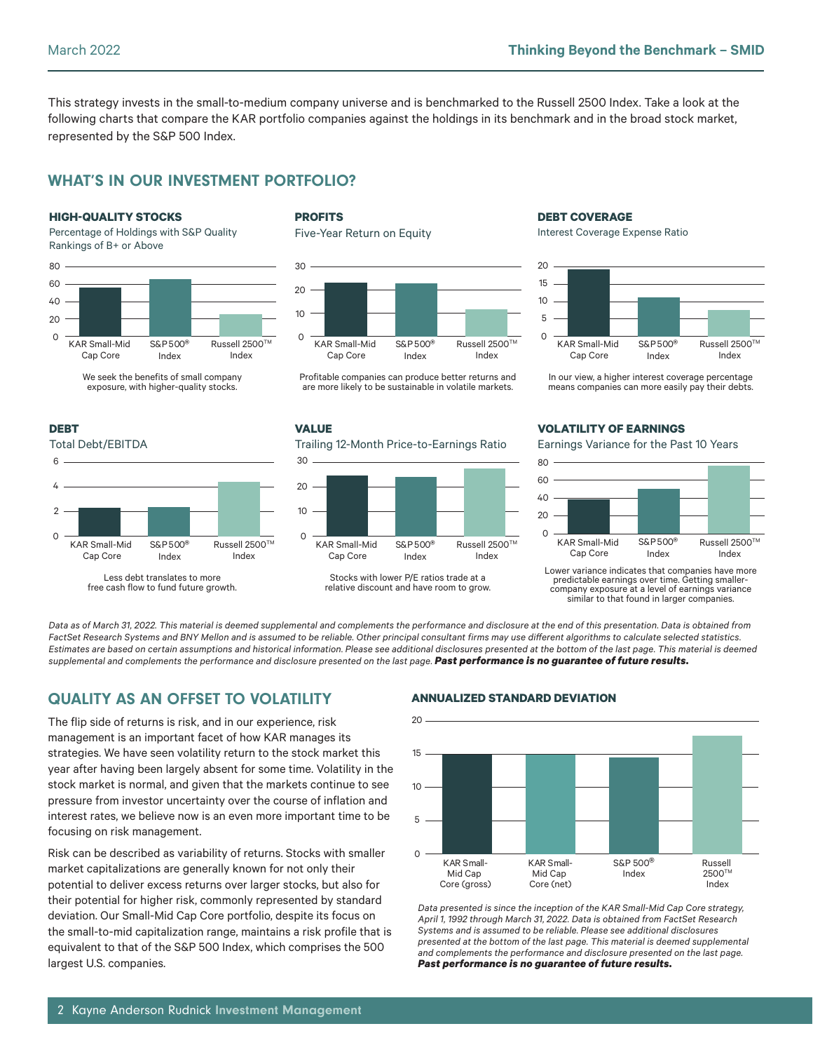This strategy invests in the small-to-medium company universe and is benchmarked to the Russell 2500 Index. Take a look at the following charts that compare the KAR portfolio companies against the holdings in its benchmark and in the broad stock market, represented by the S&P 500 Index.

# WHAT'S IN OUR INVESTMENT PORTFOLIO?

#### **HIGH-QUALITY STOCKS**

Percentage of Holdings with S&P Quality Rankings of B+ or Above



#### We seek the benefits of small company exposure, with higher-quality stocks.



Less debt translates to more free cash flow to fund future growth.

### **PROFITS**

Five-Year Return on Equity



Profitable companies can produce better returns and are more likely to be sustainable in volatile markets.

#### **VALUE**

Trailing 12-Month Price-to-Earnings Ratio



Stocks with lower P/E ratios trade at a relative discount and have room to grow.

## **DEBT COVERAGE**

Interest Coverage Expense Ratio



In our view, a higher interest coverage percentage means companies can more easily pay their debts.

### **VOLATILITY OF EARNINGS**

Earnings Variance for the Past 10 Years



Lower variance indicates that companies have more predictable earnings over time. Getting smallercompany exposure at a level of earnings variance similar to that found in larger companies.

*Data as of March 31, 2022. This material is deemed supplemental and complements the performance and disclosure at the end of this presentation. Data is obtained from FactSet Research Systems and BNY Mellon and is assumed to be reliable. Other principal consultant firms may use different algorithms to calculate selected statistics. Estimates are based on certain assumptions and historical information. Please see additional disclosures presented at the bottom of the last page. This material is deemed supplemental and complements the performance and disclosure presented on the last page. Past performance is no guarantee of future results.*

# QUALITY AS AN OFFSET TO VOLATILITY

The flip side of returns is risk, and in our experience, risk management is an important facet of how KAR manages its strategies. We have seen volatility return to the stock market this year after having been largely absent for some time. Volatility in the stock market is normal, and given that the markets continue to see pressure from investor uncertainty over the course of inflation and interest rates, we believe now is an even more important time to be focusing on risk management.

Risk can be described as variability of returns. Stocks with smaller market capitalizations are generally known for not only their potential to deliver excess returns over larger stocks, but also for their potential for higher risk, commonly represented by standard deviation. Our Small-Mid Cap Core portfolio, despite its focus on the small-to-mid capitalization range, maintains a risk profile that is equivalent to that of the S&P 500 Index, which comprises the 500 largest U.S. companies.

### **ANNUALIZED STANDARD DEVIATION**



*Data presented is since the inception of the KAR Small-Mid Cap Core strategy, April 1, 1992 through March 31, 2022. Data is obtained from FactSet Research Systems and is assumed to be reliable. Please see additional disclosures presented at the bottom of the last page. This material is deemed supplemental and complements the performance and disclosure presented on the last page. Past performance is no guarantee of future results.*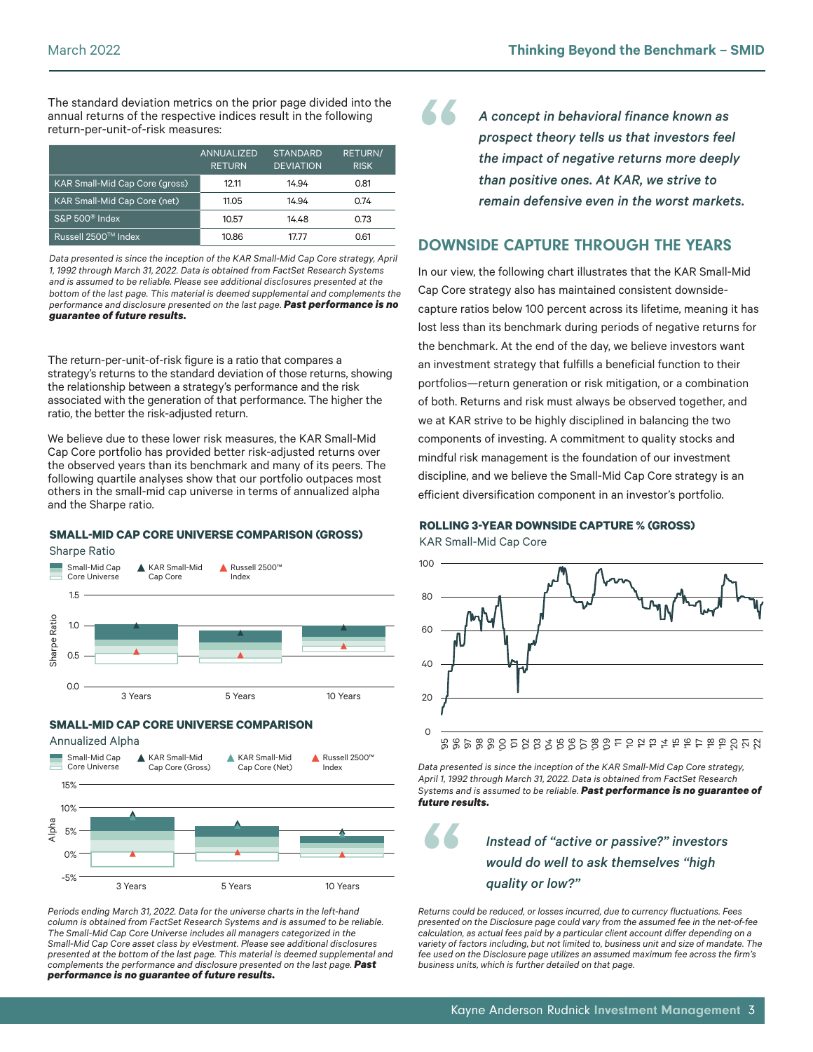The standard deviation metrics on the prior page divided into the annual returns of the respective indices result in the following return-per-unit-of-risk measures:

|                                       | ANNUALIZED<br><b>RETURN</b> | <b>STANDARD</b><br><b>DEVIATION</b> | <b>RETURN/</b><br><b>RISK</b> |
|---------------------------------------|-----------------------------|-------------------------------------|-------------------------------|
| <b>KAR Small-Mid Cap Core (gross)</b> | 12.11                       | 14.94                               | 0.81                          |
| <b>KAR Small-Mid Cap Core (net)</b>   | 11.05                       | 14.94                               | 0.74                          |
| S&P 500 <sup>®</sup> Index            | 10.57                       | 14.48                               | 0.73                          |
| Russell 2500™ Index.                  | 10.86                       | 17.77                               | 0.61                          |

*Data presented is since the inception of the KAR Small-Mid Cap Core strategy, April 1, 1992 through March 31, 2022. Data is obtained from FactSet Research Systems and is assumed to be reliable. Please see additional disclosures presented at the bottom of the last page. This material is deemed supplemental and complements the performance and disclosure presented on the last page. Past performance is no guarantee of future results.*

The return-per-unit-of-risk figure is a ratio that compares a strategy's returns to the standard deviation of those returns, showing the relationship between a strategy's performance and the risk associated with the generation of that performance. The higher the ratio, the better the risk-adjusted return.

We believe due to these lower risk measures, the KAR Small-Mid Cap Core portfolio has provided better risk-adjusted returns over the observed years than its benchmark and many of its peers. The following quartile analyses show that our portfolio outpaces most others in the small-mid cap universe in terms of annualized alpha and the Sharpe ratio.

### **SMALL-MID CAP CORE UNIVERSE COMPARISON (GROSS)**





#### **SMALL-MID CAP CORE UNIVERSE COMPARISON**

Annualized Alpha



*Periods ending March 31, 2022. Data for the universe charts in the left-hand column is obtained from FactSet Research Systems and is assumed to be reliable. The Small-Mid Cap Core Universe includes all managers categorized in the Small-Mid Cap Core asset class by eVestment. Please see additional disclosures presented at the bottom of the last page. This material is deemed supplemental and complements the performance and disclosure presented on the last page. Past performance is no guarantee of future results.*

A concept in behavioral finance known as<br>prospect theory tells us that investors fee<br>the impact of negative returns more deepl<br>than positive ones. At KAR, we strive to *prospect theory tells us that investors feel the impact of negative returns more deeply than positive ones. At KAR, we strive to remain defensive even in the worst markets.*

### DOWNSIDE CAPTURE THROUGH THE YEARS

In our view, the following chart illustrates that the KAR Small-Mid Cap Core strategy also has maintained consistent downsidecapture ratios below 100 percent across its lifetime, meaning it has lost less than its benchmark during periods of negative returns for the benchmark. At the end of the day, we believe investors want an investment strategy that fulfills a beneficial function to their portfolios—return generation or risk mitigation, or a combination of both. Returns and risk must always be observed together, and we at KAR strive to be highly disciplined in balancing the two components of investing. A commitment to quality stocks and mindful risk management is the foundation of our investment discipline, and we believe the Small-Mid Cap Core strategy is an efficient diversification component in an investor's portfolio.

#### **ROLLING 3-YEAR DOWNSIDE CAPTURE % (GROSS)**

KAR Small-Mid Cap Core



*Data presented is since the inception of the KAR Small-Mid Cap Core strategy, April 1, 1992 through March 31, 2022. Data is obtained from FactSet Research Systems and is assumed to be reliable. Past performance is no guarantee of future results.*

Instead of "active or passive?" investors<br>would do well to ask themselves "high<br>quality or low?" *would do well to ask themselves "high quality or low?"*

*Returns could be reduced, or losses incurred, due to currency fluctuations. Fees presented on the Disclosure page could vary from the assumed fee in the net-of-fee calculation, as actual fees paid by a particular client account differ depending on a variety of factors including, but not limited to, business unit and size of mandate. The fee used on the Disclosure page utilizes an assumed maximum fee across the firm's business units, which is further detailed on that page.*